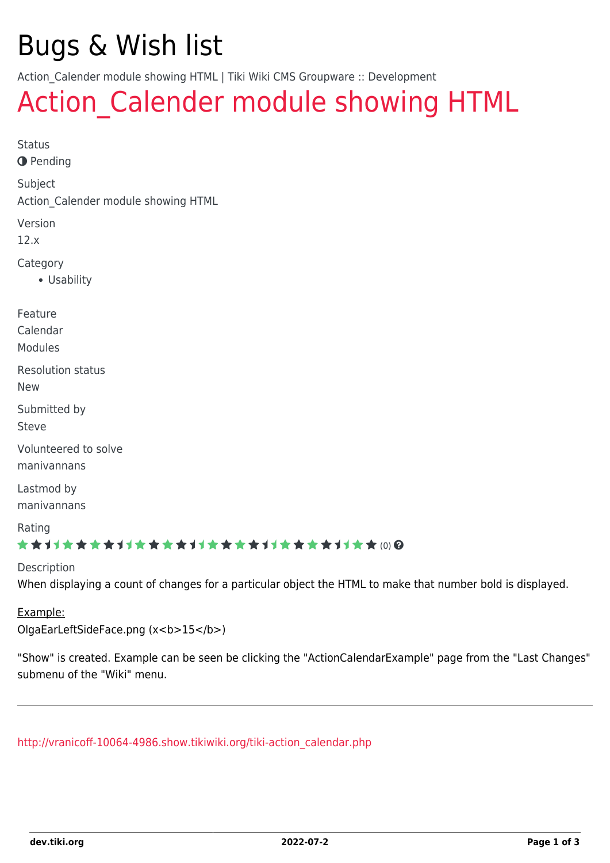# Bugs & Wish list

Action Calender module showing HTML | Tiki Wiki CMS Groupware :: Development

## Action Calender module showing HTML

Status **O** Pending Subject Action\_Calender module showing HTML Version 12.x Category Usability Feature Calendar Modules Resolution status New Submitted by Steve Volunteered to solve manivannans Lastmod by manivannans Rating **★★11★★★★11★★★★11★★★★11★★★★+11★★**@@ Description

When displaying a count of changes for a particular object the HTML to make that number bold is displayed.

#### Example:

OlgaEarLeftSideFace.png (x<b>15</b>)

"Show" is created. Example can be seen be clicking the "ActionCalendarExample" page from the "Last Changes" submenu of the "Wiki" menu.

[http://vranicoff-10064-4986.show.tikiwiki.org/tiki-action\\_calendar.php](http://vranicoff-10064-4986.show.tikiwiki.org/tiki-action_calendar.php)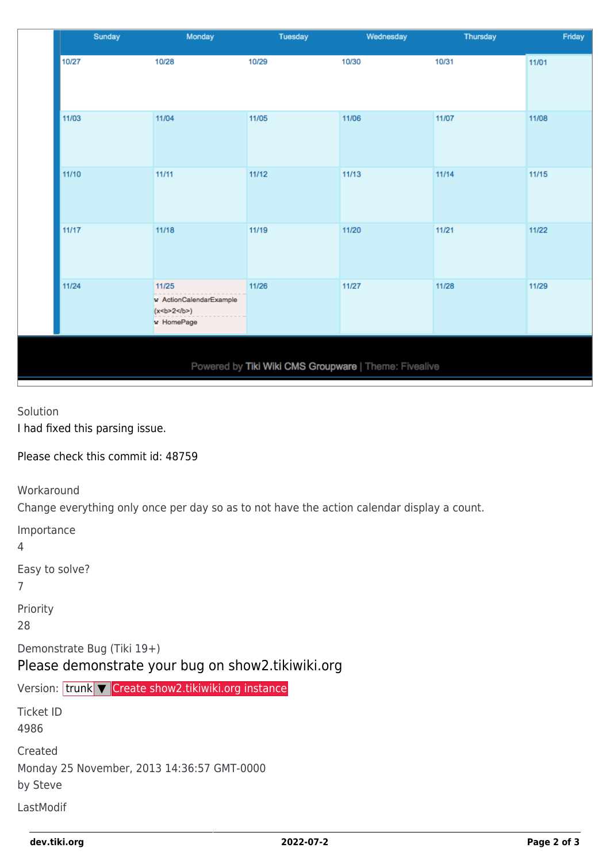|                                                       | Sunday | Monday                                                         | Tuesday | Wednesday | Thursday | Friday |  |  |  |  |
|-------------------------------------------------------|--------|----------------------------------------------------------------|---------|-----------|----------|--------|--|--|--|--|
|                                                       | 10/27  | 10/28                                                          | 10/29   | 10/30     | 10/31    | 11/01  |  |  |  |  |
|                                                       | 11/03  | 11/04                                                          | 11/05   | 11/06     | 11/07    | 11/08  |  |  |  |  |
|                                                       | 11/10  | 11/11                                                          | 11/12   | 11/13     | 11/14    | 11/15  |  |  |  |  |
|                                                       | 11/17  | 11/18                                                          | 11/19   | 11/20     | 11/21    | 11/22  |  |  |  |  |
|                                                       | 11/24  | 11/25<br>w ActionCalendarExample<br>(x < b > 2 )<br>w HomePage | 11/26   | 11/27     | 11/28    | 11/29  |  |  |  |  |
| Powered by Tiki Wiki CMS Groupware   Theme: Fivealive |        |                                                                |         |           |          |        |  |  |  |  |

#### Solution I had fixed this parsing issue.

Please check this commit id: 48759

Workaround

Change everything only once per day so as to not have the action calendar display a count.

| Importance<br>4                                                                 |  |  |  |  |  |  |
|---------------------------------------------------------------------------------|--|--|--|--|--|--|
| Easy to solve?<br>7                                                             |  |  |  |  |  |  |
| Priority<br>28                                                                  |  |  |  |  |  |  |
| Demonstrate Bug (Tiki 19+)<br>Please demonstrate your bug on show2.tikiwiki.org |  |  |  |  |  |  |
|                                                                                 |  |  |  |  |  |  |
| Version: trunk V Create show2.tikiwiki.org instance                             |  |  |  |  |  |  |
| <b>Ticket ID</b><br>4986                                                        |  |  |  |  |  |  |
| Created<br>Monday 25 November, 2013 14:36:57 GMT-0000<br>by Steve               |  |  |  |  |  |  |